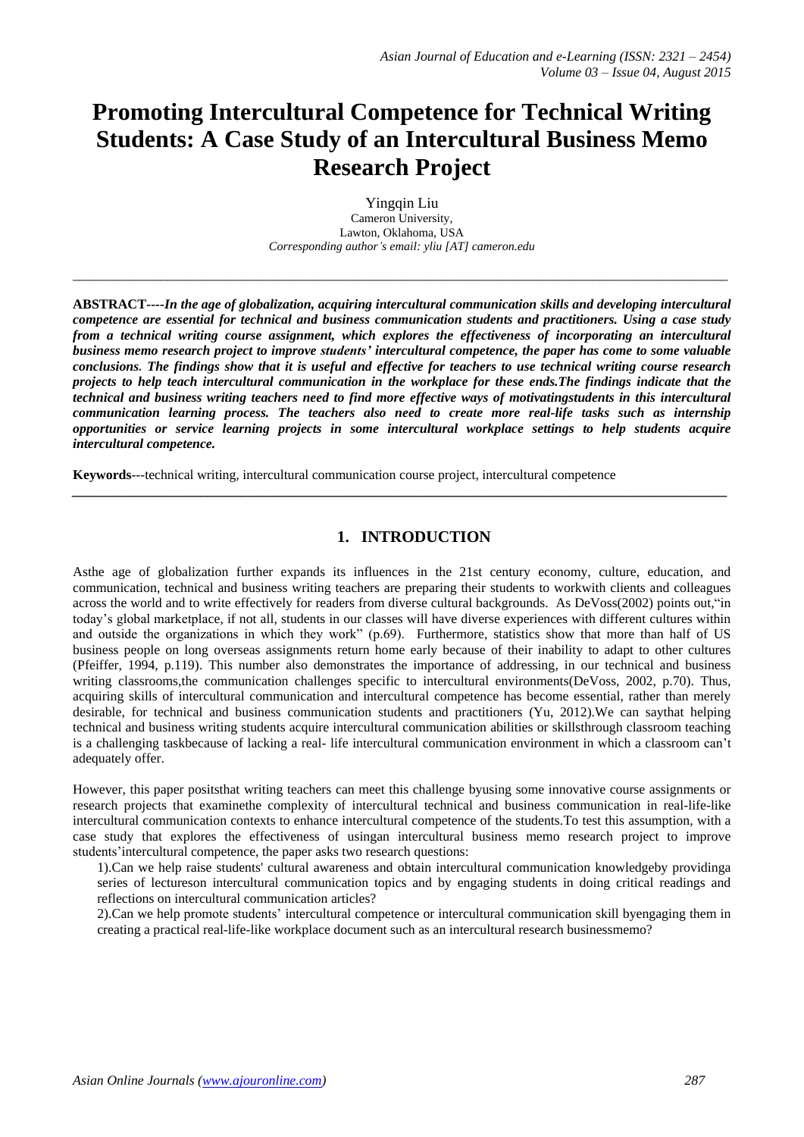# **Promoting Intercultural Competence for Technical Writing Students: A Case Study of an Intercultural Business Memo Research Project**

Yingqin Liu Cameron University, Lawton, Oklahoma, USA *Corresponding author's email: yliu [AT] cameron.edu*

*\_\_\_\_\_\_\_\_\_\_\_\_\_\_\_\_\_\_\_\_\_\_\_\_\_\_\_\_\_\_\_\_\_\_\_\_\_\_\_\_\_\_\_\_\_\_\_\_\_\_\_\_\_\_\_\_\_\_\_\_\_\_\_\_\_\_\_\_\_\_\_\_\_\_\_\_\_\_\_\_\_\_\_\_\_\_\_\_\_\_\_\_\_\_\_\_\_*

**ABSTRACT***----In the age of globalization, acquiring intercultural communication skills and developing intercultural competence are essential for technical and business communication students and practitioners. Using a case study from a technical writing course assignment, which explores the effectiveness of incorporating an intercultural business memo research project to improve students' intercultural competence, the paper has come to some valuable conclusions. The findings show that it is useful and effective for teachers to use technical writing course research projects to help teach intercultural communication in the workplace for these ends.The findings indicate that the technical and business writing teachers need to find more effective ways of motivatingstudents in this intercultural communication learning process. The teachers also need to create more real-life tasks such as internship opportunities or service learning projects in some intercultural workplace settings to help students acquire intercultural competence.* 

**Keywords**---technical writing, intercultural communication course project, intercultural competence

# **1. INTRODUCTION**

*\_\_\_\_\_\_\_\_\_\_\_\_\_\_\_\_\_\_\_\_\_\_\_\_\_\_\_\_\_\_\_\_\_\_\_\_\_\_\_\_\_\_\_\_\_\_\_\_\_\_\_\_\_\_\_\_\_\_\_\_\_\_\_\_\_\_\_\_\_\_\_\_\_\_\_\_\_\_\_\_\_\_\_\_\_\_\_\_\_\_\_\_\_\_\_\_\_*

Asthe age of globalization further expands its influences in the 21st century economy, culture, education, and communication, technical and business writing teachers are preparing their students to workwith clients and colleagues across the world and to write effectively for readers from diverse cultural backgrounds. As DeVoss(2002) points out,"in today"s global marketplace, if not all, students in our classes will have diverse experiences with different cultures within and outside the organizations in which they work" (p.69). Furthermore, statistics show that more than half of US business people on long overseas assignments return home early because of their inability to adapt to other cultures (Pfeiffer, 1994, p.119). This number also demonstrates the importance of addressing, in our technical and business writing classrooms,the communication challenges specific to intercultural environments(DeVoss, 2002, p.70). Thus, acquiring skills of intercultural communication and intercultural competence has become essential, rather than merely desirable, for technical and business communication students and practitioners (Yu, 2012).We can saythat helping technical and business writing students acquire intercultural communication abilities or skillsthrough classroom teaching is a challenging taskbecause of lacking a real- life intercultural communication environment in which a classroom can"t adequately offer.

However, this paper positsthat writing teachers can meet this challenge byusing some innovative course assignments or research projects that examinethe complexity of intercultural technical and business communication in real-life-like intercultural communication contexts to enhance intercultural competence of the students.To test this assumption, with a case study that explores the effectiveness of usingan intercultural business memo research project to improve students' intercultural competence, the paper asks two research questions:

1).Can we help raise students' cultural awareness and obtain intercultural communication knowledgeby providinga series of lectureson intercultural communication topics and by engaging students in doing critical readings and reflections on intercultural communication articles?

2).Can we help promote students" intercultural competence or intercultural communication skill byengaging them in creating a practical real-life-like workplace document such as an intercultural research businessmemo?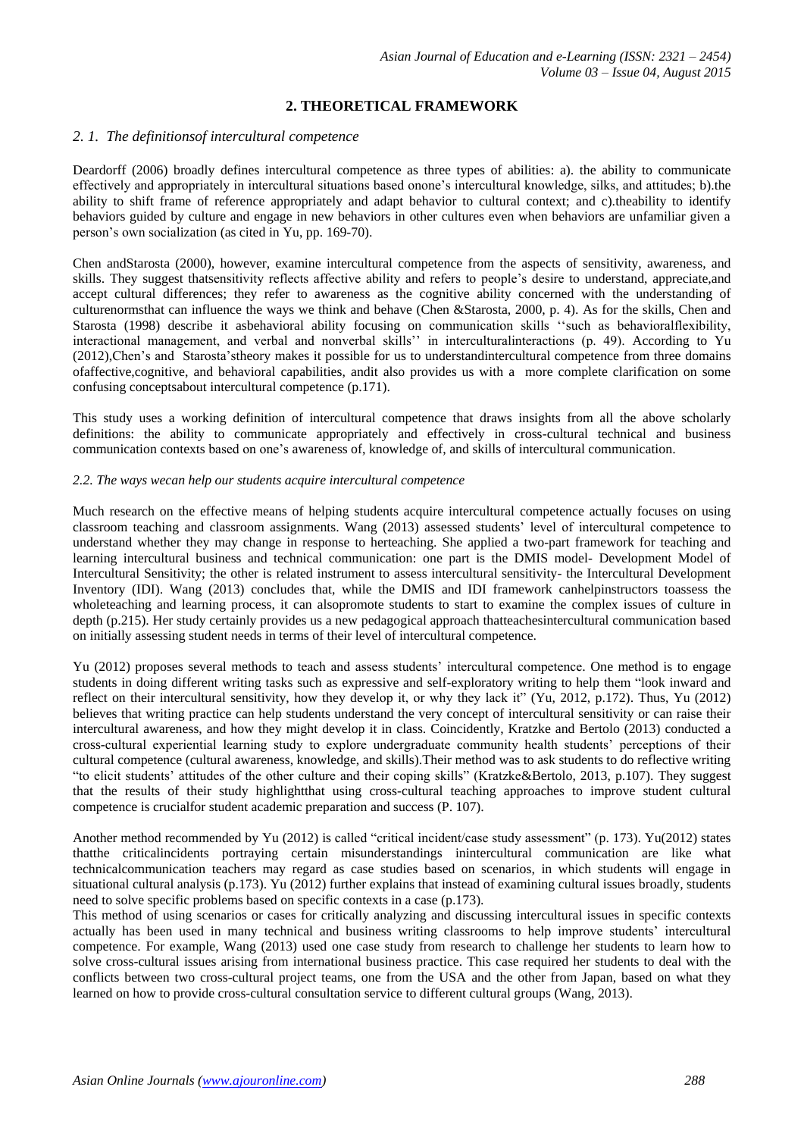# **2. THEORETICAL FRAMEWORK**

### *2. 1. The definitionsof intercultural competence*

Deardorff (2006) broadly defines intercultural competence as three types of abilities: a). the ability to communicate effectively and appropriately in intercultural situations based onone"s intercultural knowledge, silks, and attitudes; b).the ability to shift frame of reference appropriately and adapt behavior to cultural context; and c).theability to identify behaviors guided by culture and engage in new behaviors in other cultures even when behaviors are unfamiliar given a person"s own socialization (as cited in Yu, pp. 169-70).

Chen andStarosta (2000), however, examine intercultural competence from the aspects of sensitivity, awareness, and skills. They suggest thatsensitivity reflects affective ability and refers to people"s desire to understand, appreciate,and accept cultural differences; they refer to awareness as the cognitive ability concerned with the understanding of culturenormsthat can influence the ways we think and behave (Chen &Starosta, 2000, p. 4). As for the skills, Chen and Starosta (1998) describe it asbehavioral ability focusing on communication skills ""such as behavioralflexibility, interactional management, and verbal and nonverbal skills"" in interculturalinteractions (p. 49). According to Yu (2012),Chen"s and Starosta"stheory makes it possible for us to understandintercultural competence from three domains ofaffective,cognitive, and behavioral capabilities, andit also provides us with a more complete clarification on some confusing conceptsabout intercultural competence (p.171).

This study uses a working definition of intercultural competence that draws insights from all the above scholarly definitions: the ability to communicate appropriately and effectively in cross-cultural technical and business communication contexts based on one"s awareness of, knowledge of, and skills of intercultural communication.

#### *2.2. The ways wecan help our students acquire intercultural competence*

Much research on the effective means of helping students acquire intercultural competence actually focuses on using classroom teaching and classroom assignments. Wang (2013) assessed students" level of intercultural competence to understand whether they may change in response to herteaching. She applied a two-part framework for teaching and learning intercultural business and technical communication: one part is the DMIS model- Development Model of Intercultural Sensitivity; the other is related instrument to assess intercultural sensitivity- the Intercultural Development Inventory (IDI). Wang (2013) concludes that, while the DMIS and IDI framework canhelpinstructors toassess the wholeteaching and learning process, it can alsopromote students to start to examine the complex issues of culture in depth (p.215). Her study certainly provides us a new pedagogical approach thatteachesintercultural communication based on initially assessing student needs in terms of their level of intercultural competence.

Yu (2012) proposes several methods to teach and assess students" intercultural competence. One method is to engage students in doing different writing tasks such as expressive and self-exploratory writing to help them "look inward and reflect on their intercultural sensitivity, how they develop it, or why they lack it" (Yu, 2012, p.172). Thus, Yu (2012) believes that writing practice can help students understand the very concept of intercultural sensitivity or can raise their intercultural awareness, and how they might develop it in class. Coincidently, Kratzke and Bertolo (2013) conducted a cross-cultural experiential learning study to explore undergraduate community health students" perceptions of their cultural competence (cultural awareness, knowledge, and skills).Their method was to ask students to do reflective writing "to elicit students" attitudes of the other culture and their coping skills" (Kratzke&Bertolo, 2013, p.107). They suggest that the results of their study highlightthat using cross-cultural teaching approaches to improve student cultural competence is crucialfor student academic preparation and success (P. 107).

Another method recommended by Yu (2012) is called "critical incident/case study assessment" (p. 173). Yu(2012) states thatthe criticalincidents portraying certain misunderstandings inintercultural communication are like what technicalcommunication teachers may regard as case studies based on scenarios, in which students will engage in situational cultural analysis (p.173). Yu (2012) further explains that instead of examining cultural issues broadly, students need to solve specific problems based on specific contexts in a case (p.173).

This method of using scenarios or cases for critically analyzing and discussing intercultural issues in specific contexts actually has been used in many technical and business writing classrooms to help improve students' intercultural competence. For example, Wang (2013) used one case study from research to challenge her students to learn how to solve cross-cultural issues arising from international business practice. This case required her students to deal with the conflicts between two cross-cultural project teams, one from the USA and the other from Japan, based on what they learned on how to provide cross-cultural consultation service to different cultural groups (Wang, 2013).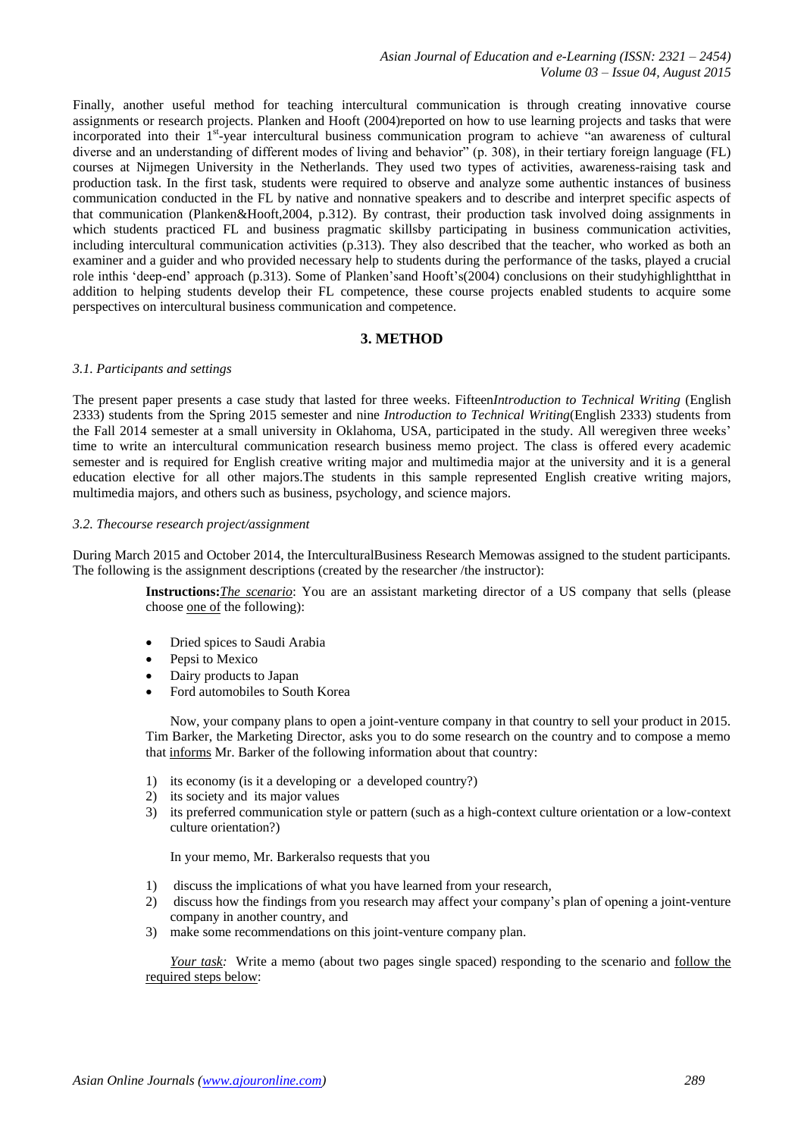Finally, another useful method for teaching intercultural communication is through creating innovative course assignments or research projects. Planken and Hooft (2004)reported on how to use learning projects and tasks that were incorporated into their 1<sup>st</sup>-year intercultural business communication program to achieve "an awareness of cultural diverse and an understanding of different modes of living and behavior" (p. 308), in their tertiary foreign language (FL) courses at Nijmegen University in the Netherlands. They used two types of activities, awareness-raising task and production task. In the first task, students were required to observe and analyze some authentic instances of business communication conducted in the FL by native and nonnative speakers and to describe and interpret specific aspects of that communication (Planken&Hooft,2004, p.312). By contrast, their production task involved doing assignments in which students practiced FL and business pragmatic skillsby participating in business communication activities, including intercultural communication activities (p.313). They also described that the teacher, who worked as both an examiner and a guider and who provided necessary help to students during the performance of the tasks, played a crucial role inthis "deep-end" approach (p.313). Some of Planken"sand Hooft"s(2004) conclusions on their studyhighlightthat in addition to helping students develop their FL competence, these course projects enabled students to acquire some perspectives on intercultural business communication and competence.

### **3. METHOD**

#### *3.1. Participants and settings*

The present paper presents a case study that lasted for three weeks. Fifteen*Introduction to Technical Writing* (English 2333) students from the Spring 2015 semester and nine *Introduction to Technical Writing*(English 2333) students from the Fall 2014 semester at a small university in Oklahoma, USA, participated in the study. All weregiven three weeks' time to write an intercultural communication research business memo project. The class is offered every academic semester and is required for English creative writing major and multimedia major at the university and it is a general education elective for all other majors.The students in this sample represented English creative writing majors, multimedia majors, and others such as business, psychology, and science majors.

#### *3.2. Thecourse research project/assignment*

During March 2015 and October 2014, the InterculturalBusiness Research Memowas assigned to the student participants*.*  The following is the assignment descriptions (created by the researcher /the instructor):

> **Instructions:***The scenario*: You are an assistant marketing director of a US company that sells (please choose one of the following):

- Dried spices to Saudi Arabia
- Pepsi to Mexico
- Dairy products to Japan
- Ford automobiles to South Korea

Now, your company plans to open a joint-venture company in that country to sell your product in 2015. Tim Barker, the Marketing Director, asks you to do some research on the country and to compose a memo that informs Mr. Barker of the following information about that country:

- 1) its economy (is it a developing or a developed country?)
- 2) its society and its major values
- 3) its preferred communication style or pattern (such as a high-context culture orientation or a low-context culture orientation?)

In your memo, Mr. Barkeralso requests that you

- 1) discuss the implications of what you have learned from your research,
- 2) discuss how the findings from you research may affect your company"s plan of opening a joint-venture company in another country, and
- 3) make some recommendations on this joint-venture company plan.

*Your task:* Write a memo (about two pages single spaced) responding to the scenario and follow the required steps below: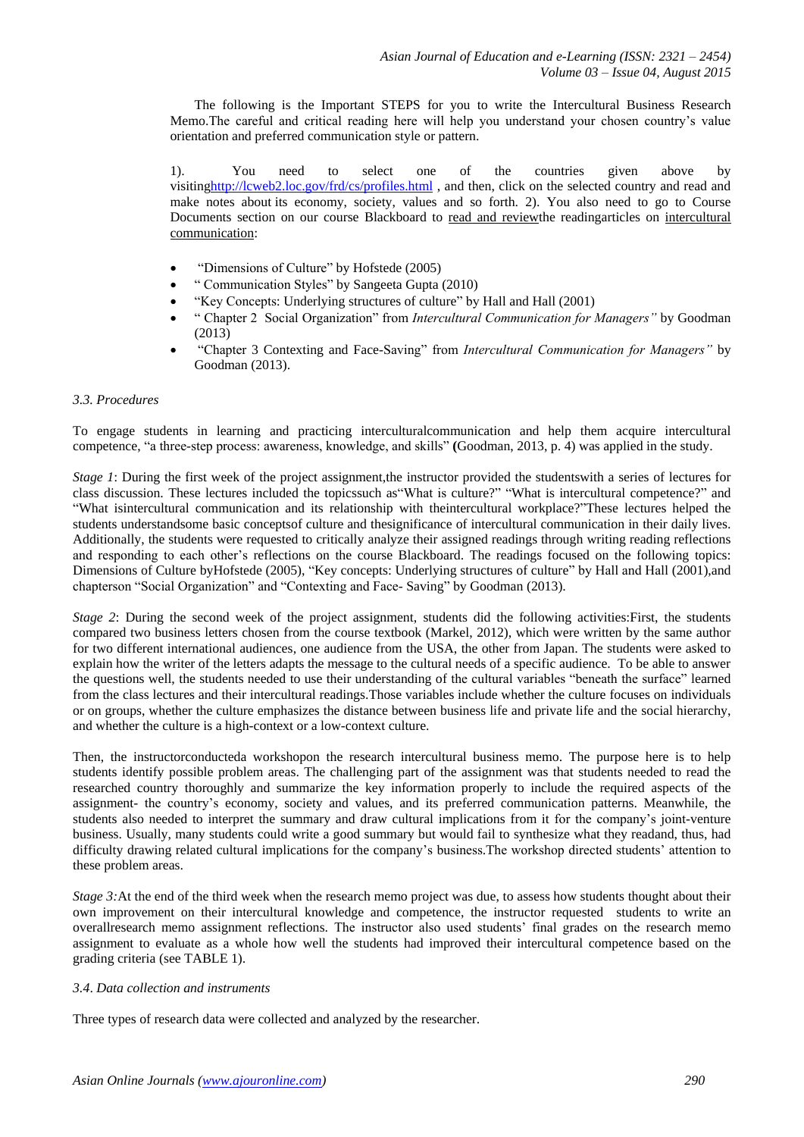The following is the Important STEPS for you to write the Intercultural Business Research Memo.The careful and critical reading here will help you understand your chosen country"s value orientation and preferred communication style or pattern.

1). You need to select one of the countries given above by visitin[ghttp://lcweb2.loc.gov/frd/cs/profiles.html](http://lcweb2.loc.gov/frd/cs/profiles.html) , and then, click on the selected country and read and make notes about its economy, society, values and so forth. 2). You also need to go to Course Documents section on our course Blackboard to read and reviewthe readingarticles on intercultural communication:

- "Dimensions of Culture" by Hofstede (2005)
- " Communication Styles" by Sangeeta Gupta (2010)
- "Key Concepts: Underlying structures of culture" by Hall and Hall (2001)
- " Chapter 2 Social Organization" from *Intercultural Communication for Managers"* by Goodman (2013)
- "Chapter 3 Contexting and Face-Saving" from *Intercultural Communication for Managers"* by Goodman (2013).

#### *3.3. Procedures*

To engage students in learning and practicing interculturalcommunication and help them acquire intercultural competence, "a three-step process: awareness, knowledge, and skills" **(**Goodman, 2013, p. 4) was applied in the study.

*Stage 1*: During the first week of the project assignment, the instructor provided the studentswith a series of lectures for class discussion. These lectures included the topicssuch as"What is culture?" "What is intercultural competence?" and "What isintercultural communication and its relationship with theintercultural workplace?"These lectures helped the students understandsome basic conceptsof culture and thesignificance of intercultural communication in their daily lives. Additionally, the students were requested to critically analyze their assigned readings through writing reading reflections and responding to each other"s reflections on the course Blackboard. The readings focused on the following topics: Dimensions of Culture byHofstede (2005), "Key concepts: Underlying structures of culture" by Hall and Hall (2001),and chapterson "Social Organization" and "Contexting and Face- Saving" by Goodman (2013).

*Stage 2*: During the second week of the project assignment, students did the following activities:First, the students compared two business letters chosen from the course textbook (Markel, 2012), which were written by the same author for two different international audiences, one audience from the USA, the other from Japan. The students were asked to explain how the writer of the letters adapts the message to the cultural needs of a specific audience. To be able to answer the questions well, the students needed to use their understanding of the cultural variables "beneath the surface" learned from the class lectures and their intercultural readings.Those variables include whether the culture focuses on individuals or on groups, whether the culture emphasizes the distance between business life and private life and the social hierarchy, and whether the culture is a high-context or a low-context culture.

Then, the instructorconducteda workshopon the research intercultural business memo. The purpose here is to help students identify possible problem areas. The challenging part of the assignment was that students needed to read the researched country thoroughly and summarize the key information properly to include the required aspects of the assignment- the country"s economy, society and values, and its preferred communication patterns. Meanwhile, the students also needed to interpret the summary and draw cultural implications from it for the company"s joint-venture business. Usually, many students could write a good summary but would fail to synthesize what they readand, thus, had difficulty drawing related cultural implications for the company's business. The workshop directed students' attention to these problem areas.

*Stage 3:* At the end of the third week when the research memo project was due, to assess how students thought about their own improvement on their intercultural knowledge and competence, the instructor requested students to write an overallresearch memo assignment reflections. The instructor also used students" final grades on the research memo assignment to evaluate as a whole how well the students had improved their intercultural competence based on the grading criteria (see TABLE 1).

#### *3.4*. *Data collection and instruments*

Three types of research data were collected and analyzed by the researcher.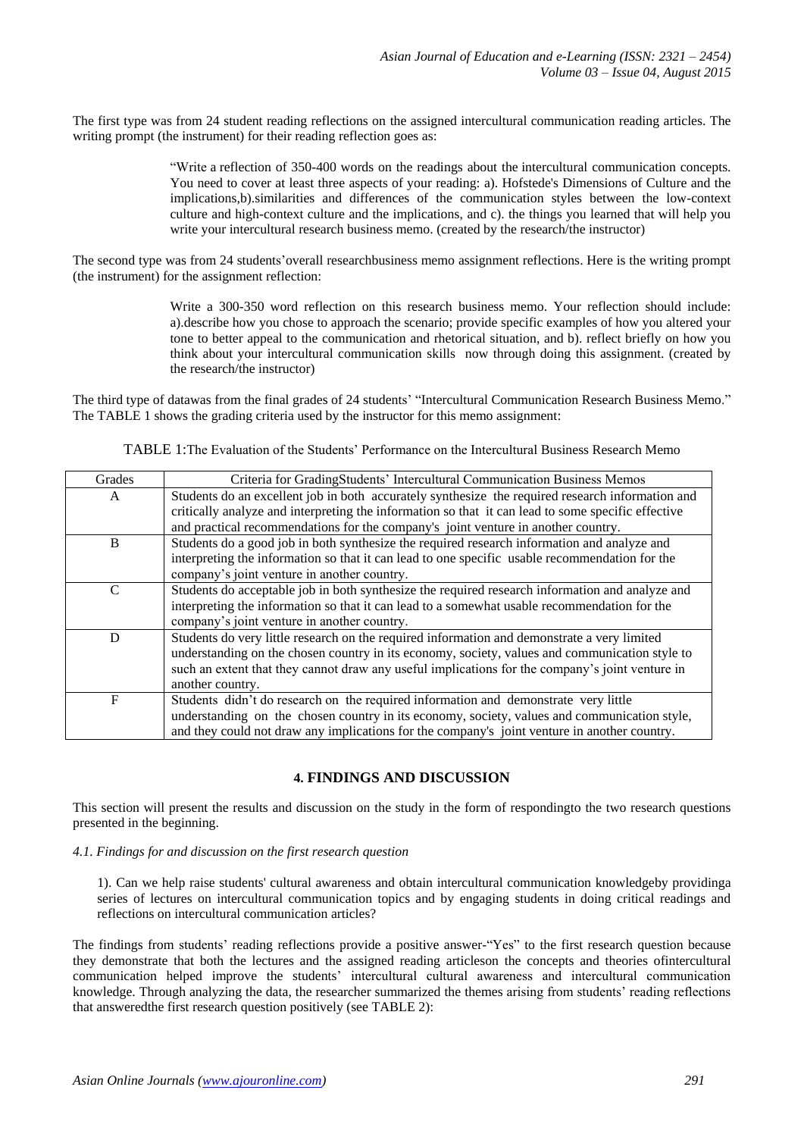The first type was from 24 student reading reflections on the assigned intercultural communication reading articles. The writing prompt (the instrument) for their reading reflection goes as:

> "Write a reflection of 350-400 words on the readings about the intercultural communication concepts. You need to cover at least three aspects of your reading: a). Hofstede's Dimensions of Culture and the implications,b).similarities and differences of the communication styles between the low-context culture and high-context culture and the implications, and c). the things you learned that will help you write your intercultural research business memo. (created by the research/the instructor)

The second type was from 24 students' overall researchbusiness memo assignment reflections. Here is the writing prompt (the instrument) for the assignment reflection:

> Write a 300-350 word reflection on this research business memo. Your reflection should include: a).describe how you chose to approach the scenario; provide specific examples of how you altered your tone to better appeal to the communication and rhetorical situation, and b). reflect briefly on how you think about your intercultural communication skills now through doing this assignment. (created by the research/the instructor)

The third type of datawas from the final grades of 24 students" "Intercultural Communication Research Business Memo." The TABLE 1 shows the grading criteria used by the instructor for this memo assignment:

| TABLE 1: The Evaluation of the Students' Performance on the Intercultural Business Research Memo |  |
|--------------------------------------------------------------------------------------------------|--|
|--------------------------------------------------------------------------------------------------|--|

| Grades        | Criteria for GradingStudents' Intercultural Communication Business Memos                           |
|---------------|----------------------------------------------------------------------------------------------------|
| $\mathsf{A}$  | Students do an excellent job in both accurately synthesize the required research information and   |
|               | critically analyze and interpreting the information so that it can lead to some specific effective |
|               | and practical recommendations for the company's joint venture in another country.                  |
| B             | Students do a good job in both synthesize the required research information and analyze and        |
|               | interpreting the information so that it can lead to one specific usable recommendation for the     |
|               | company's joint venture in another country.                                                        |
| $\mathcal{C}$ | Students do acceptable job in both synthesize the required research information and analyze and    |
|               | interpreting the information so that it can lead to a somewhat usable recommendation for the       |
|               | company's joint venture in another country.                                                        |
| D             | Students do very little research on the required information and demonstrate a very limited        |
|               | understanding on the chosen country in its economy, society, values and communication style to     |
|               | such an extent that they cannot draw any useful implications for the company's joint venture in    |
|               | another country.                                                                                   |
| F             | Students didn't do research on the required information and demonstrate very little                |
|               | understanding on the chosen country in its economy, society, values and communication style,       |
|               | and they could not draw any implications for the company's joint venture in another country.       |

# **4. FINDINGS AND DISCUSSION**

This section will present the results and discussion on the study in the form of respondingto the two research questions presented in the beginning.

# *4.1. Findings for and discussion on the first research question*

1). Can we help raise students' cultural awareness and obtain intercultural communication knowledgeby providinga series of lectures on intercultural communication topics and by engaging students in doing critical readings and reflections on intercultural communication articles?

The findings from students' reading reflections provide a positive answer-"Yes" to the first research question because they demonstrate that both the lectures and the assigned reading articleson the concepts and theories ofintercultural communication helped improve the students" intercultural cultural awareness and intercultural communication knowledge. Through analyzing the data, the researcher summarized the themes arising from students" reading reflections that answeredthe first research question positively (see TABLE 2):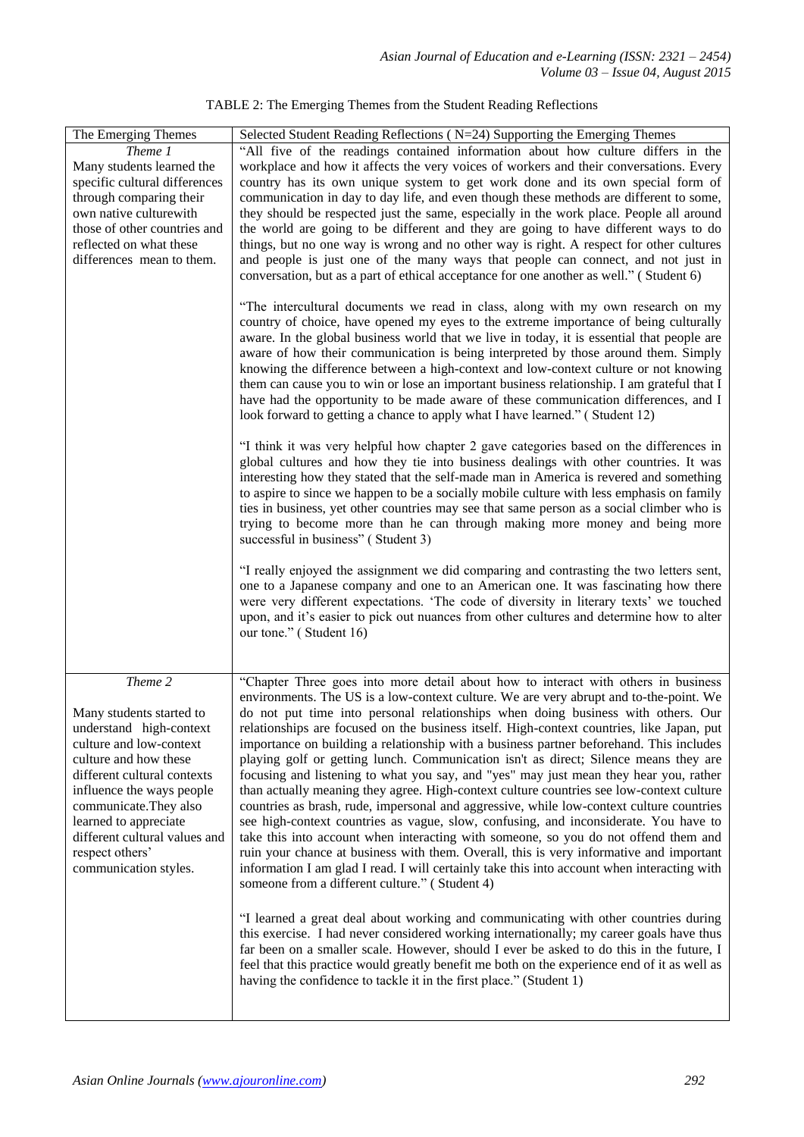| The Emerging Themes                                                                                                                                                                                                                                                                                            | Selected Student Reading Reflections (N=24) Supporting the Emerging Themes                                                                                                                                                                                                                                                                                                                                                                                                                                                                                                                                                                                                                                                                                                                                                                                                                                                                                                                                                                                                                                                                                                                                                                                   |
|----------------------------------------------------------------------------------------------------------------------------------------------------------------------------------------------------------------------------------------------------------------------------------------------------------------|--------------------------------------------------------------------------------------------------------------------------------------------------------------------------------------------------------------------------------------------------------------------------------------------------------------------------------------------------------------------------------------------------------------------------------------------------------------------------------------------------------------------------------------------------------------------------------------------------------------------------------------------------------------------------------------------------------------------------------------------------------------------------------------------------------------------------------------------------------------------------------------------------------------------------------------------------------------------------------------------------------------------------------------------------------------------------------------------------------------------------------------------------------------------------------------------------------------------------------------------------------------|
| Theme 1<br>Many students learned the<br>specific cultural differences<br>through comparing their<br>own native culturewith<br>those of other countries and<br>reflected on what these<br>differences mean to them.                                                                                             | "All five of the readings contained information about how culture differs in the<br>workplace and how it affects the very voices of workers and their conversations. Every<br>country has its own unique system to get work done and its own special form of<br>communication in day to day life, and even though these methods are different to some,<br>they should be respected just the same, especially in the work place. People all around<br>the world are going to be different and they are going to have different ways to do<br>things, but no one way is wrong and no other way is right. A respect for other cultures<br>and people is just one of the many ways that people can connect, and not just in<br>conversation, but as a part of ethical acceptance for one another as well." (Student 6)<br>"The intercultural documents we read in class, along with my own research on my                                                                                                                                                                                                                                                                                                                                                        |
|                                                                                                                                                                                                                                                                                                                | country of choice, have opened my eyes to the extreme importance of being culturally<br>aware. In the global business world that we live in today, it is essential that people are<br>aware of how their communication is being interpreted by those around them. Simply<br>knowing the difference between a high-context and low-context culture or not knowing<br>them can cause you to win or lose an important business relationship. I am grateful that I<br>have had the opportunity to be made aware of these communication differences, and I<br>look forward to getting a chance to apply what I have learned." (Student 12)                                                                                                                                                                                                                                                                                                                                                                                                                                                                                                                                                                                                                        |
|                                                                                                                                                                                                                                                                                                                | "I think it was very helpful how chapter 2 gave categories based on the differences in<br>global cultures and how they tie into business dealings with other countries. It was<br>interesting how they stated that the self-made man in America is revered and something<br>to aspire to since we happen to be a socially mobile culture with less emphasis on family<br>ties in business, yet other countries may see that same person as a social climber who is<br>trying to become more than he can through making more money and being more<br>successful in business" (Student 3)                                                                                                                                                                                                                                                                                                                                                                                                                                                                                                                                                                                                                                                                      |
|                                                                                                                                                                                                                                                                                                                | "I really enjoyed the assignment we did comparing and contrasting the two letters sent,<br>one to a Japanese company and one to an American one. It was fascinating how there<br>were very different expectations. 'The code of diversity in literary texts' we touched<br>upon, and it's easier to pick out nuances from other cultures and determine how to alter<br>our tone." (Student 16)                                                                                                                                                                                                                                                                                                                                                                                                                                                                                                                                                                                                                                                                                                                                                                                                                                                               |
| Theme 2<br>Many students started to<br>understand high-context<br>culture and low-context<br>culture and how these<br>different cultural contexts<br>influence the ways people<br>communicate. They also<br>learned to appreciate<br>different cultural values and<br>respect others'<br>communication styles. | "Chapter Three goes into more detail about how to interact with others in business<br>environments. The US is a low-context culture. We are very abrupt and to-the-point. We<br>do not put time into personal relationships when doing business with others. Our<br>relationships are focused on the business itself. High-context countries, like Japan, put<br>importance on building a relationship with a business partner beforehand. This includes<br>playing golf or getting lunch. Communication isn't as direct; Silence means they are<br>focusing and listening to what you say, and "yes" may just mean they hear you, rather<br>than actually meaning they agree. High-context culture countries see low-context culture<br>countries as brash, rude, impersonal and aggressive, while low-context culture countries<br>see high-context countries as vague, slow, confusing, and inconsiderate. You have to<br>take this into account when interacting with someone, so you do not offend them and<br>ruin your chance at business with them. Overall, this is very informative and important<br>information I am glad I read. I will certainly take this into account when interacting with<br>someone from a different culture." (Student 4) |
|                                                                                                                                                                                                                                                                                                                | "I learned a great deal about working and communicating with other countries during<br>this exercise. I had never considered working internationally; my career goals have thus<br>far been on a smaller scale. However, should I ever be asked to do this in the future, I<br>feel that this practice would greatly benefit me both on the experience end of it as well as<br>having the confidence to tackle it in the first place." (Student 1)                                                                                                                                                                                                                                                                                                                                                                                                                                                                                                                                                                                                                                                                                                                                                                                                           |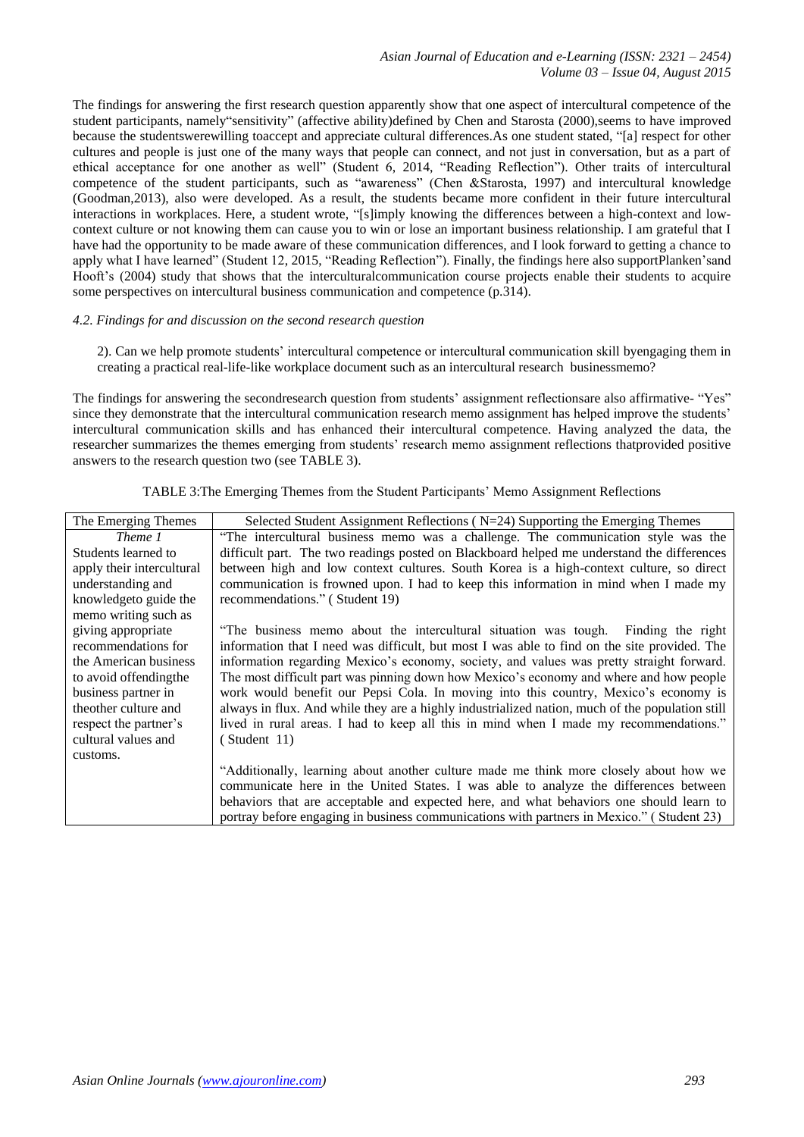The findings for answering the first research question apparently show that one aspect of intercultural competence of the student participants, namely"sensitivity" (affective ability)defined by Chen and Starosta (2000),seems to have improved because the studentswerewilling toaccept and appreciate cultural differences.As one student stated, "[a] respect for other cultures and people is just one of the many ways that people can connect, and not just in conversation, but as a part of ethical acceptance for one another as well" (Student 6, 2014, "Reading Reflection"). Other traits of intercultural competence of the student participants, such as "awareness" (Chen &Starosta, 1997) and intercultural knowledge (Goodman,2013), also were developed. As a result, the students became more confident in their future intercultural interactions in workplaces. Here, a student wrote, "[s]imply knowing the differences between a high-context and lowcontext culture or not knowing them can cause you to win or lose an important business relationship. I am grateful that I have had the opportunity to be made aware of these communication differences, and I look forward to getting a chance to apply what I have learned" (Student 12, 2015, "Reading Reflection"). Finally, the findings here also supportPlanken'sand Hooft's (2004) study that shows that the intercultural communication course projects enable their students to acquire some perspectives on intercultural business communication and competence (p.314).

#### *4.2. Findings for and discussion on the second research question*

2). Can we help promote students" intercultural competence or intercultural communication skill byengaging them in creating a practical real-life-like workplace document such as an intercultural research businessmemo?

The findings for answering the secondresearch question from students' assignment reflectionsare also affirmative- "Yes" since they demonstrate that the intercultural communication research memo assignment has helped improve the students' intercultural communication skills and has enhanced their intercultural competence. Having analyzed the data, the researcher summarizes the themes emerging from students" research memo assignment reflections thatprovided positive answers to the research question two (see TABLE 3).

| The Emerging Themes       | Selected Student Assignment Reflections ( $N=24$ ) Supporting the Emerging Themes               |
|---------------------------|-------------------------------------------------------------------------------------------------|
| Theme 1                   | "The intercultural business memo was a challenge. The communication style was the               |
| Students learned to       | difficult part. The two readings posted on Blackboard helped me understand the differences      |
| apply their intercultural | between high and low context cultures. South Korea is a high-context culture, so direct         |
| understanding and         | communication is frowned upon. I had to keep this information in mind when I made my            |
| knowledgeto guide the     | recommendations." (Student 19)                                                                  |
| memo writing such as      |                                                                                                 |
| giving appropriate        | "The business memo about the intercultural situation was tough. Finding the right               |
| recommendations for       | information that I need was difficult, but most I was able to find on the site provided. The    |
| the American business     | information regarding Mexico's economy, society, and values was pretty straight forward.        |
| to avoid offendingthe     | The most difficult part was pinning down how Mexico's economy and where and how people          |
| business partner in       | work would benefit our Pepsi Cola. In moving into this country, Mexico's economy is             |
| theother culture and      | always in flux. And while they are a highly industrialized nation, much of the population still |
| respect the partner's     | lived in rural areas. I had to keep all this in mind when I made my recommendations."           |
| cultural values and       | (Student 11)                                                                                    |
| customs.                  |                                                                                                 |
|                           | "Additionally, learning about another culture made me think more closely about how we           |
|                           | communicate here in the United States. I was able to analyze the differences between            |
|                           | behaviors that are acceptable and expected here, and what behaviors one should learn to         |
|                           | portray before engaging in business communications with partners in Mexico." (Student 23)       |

TABLE 3:The Emerging Themes from the Student Participants" Memo Assignment Reflections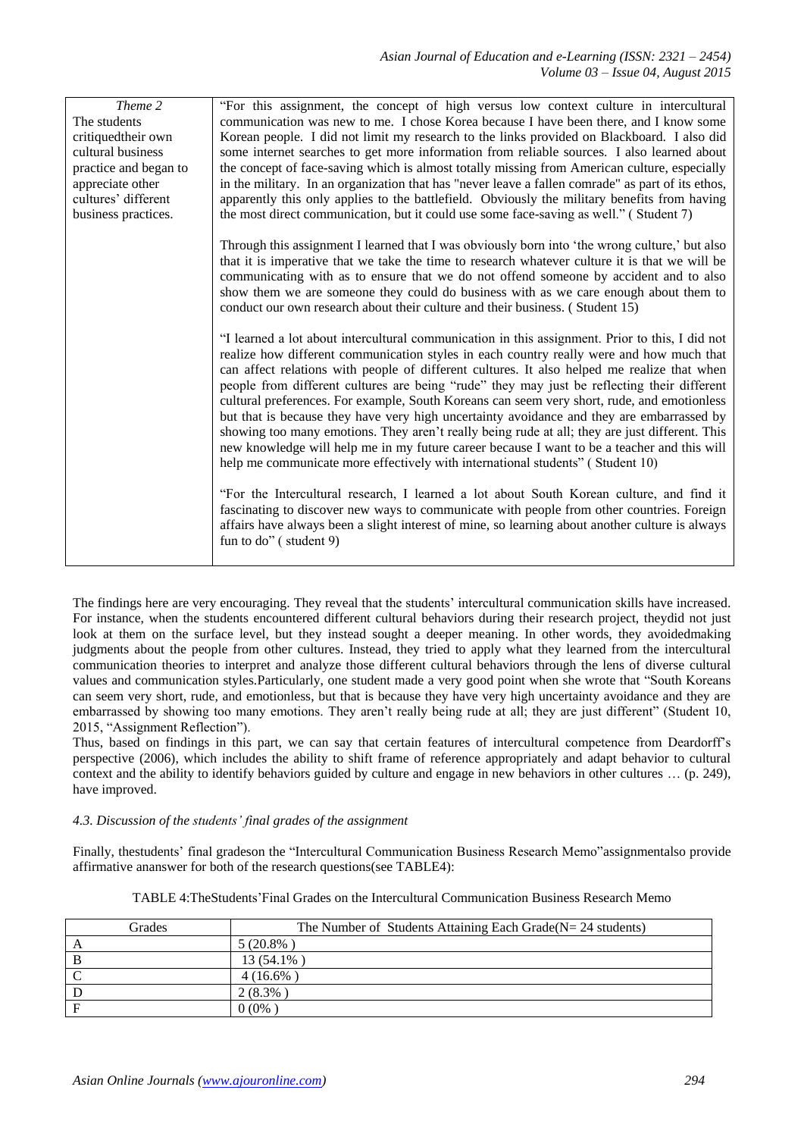| Theme 2               | "For this assignment, the concept of high versus low context culture in intercultural                                                                                                                                                                                                                                                                                                                                                                                                                                                                                                                                                                                                                                                                                                                                                                                    |
|-----------------------|--------------------------------------------------------------------------------------------------------------------------------------------------------------------------------------------------------------------------------------------------------------------------------------------------------------------------------------------------------------------------------------------------------------------------------------------------------------------------------------------------------------------------------------------------------------------------------------------------------------------------------------------------------------------------------------------------------------------------------------------------------------------------------------------------------------------------------------------------------------------------|
| The students          | communication was new to me. I chose Korea because I have been there, and I know some                                                                                                                                                                                                                                                                                                                                                                                                                                                                                                                                                                                                                                                                                                                                                                                    |
| critiquedtheir own    | Korean people. I did not limit my research to the links provided on Blackboard. I also did                                                                                                                                                                                                                                                                                                                                                                                                                                                                                                                                                                                                                                                                                                                                                                               |
| cultural business     | some internet searches to get more information from reliable sources. I also learned about                                                                                                                                                                                                                                                                                                                                                                                                                                                                                                                                                                                                                                                                                                                                                                               |
| practice and began to | the concept of face-saving which is almost totally missing from American culture, especially                                                                                                                                                                                                                                                                                                                                                                                                                                                                                                                                                                                                                                                                                                                                                                             |
| appreciate other      | in the military. In an organization that has "never leave a fallen comrade" as part of its ethos,                                                                                                                                                                                                                                                                                                                                                                                                                                                                                                                                                                                                                                                                                                                                                                        |
| cultures' different   | apparently this only applies to the battlefield. Obviously the military benefits from having                                                                                                                                                                                                                                                                                                                                                                                                                                                                                                                                                                                                                                                                                                                                                                             |
| business practices.   | the most direct communication, but it could use some face-saving as well." (Student 7)                                                                                                                                                                                                                                                                                                                                                                                                                                                                                                                                                                                                                                                                                                                                                                                   |
|                       | Through this assignment I learned that I was obviously born into 'the wrong culture,' but also<br>that it is imperative that we take the time to research whatever culture it is that we will be<br>communicating with as to ensure that we do not offend someone by accident and to also<br>show them we are someone they could do business with as we care enough about them to<br>conduct our own research about their culture and their business. (Student 15)                                                                                                                                                                                                                                                                                                                                                                                                       |
|                       | "I learned a lot about intercultural communication in this assignment. Prior to this, I did not<br>realize how different communication styles in each country really were and how much that<br>can affect relations with people of different cultures. It also helped me realize that when<br>people from different cultures are being "rude" they may just be reflecting their different<br>cultural preferences. For example, South Koreans can seem very short, rude, and emotionless<br>but that is because they have very high uncertainty avoidance and they are embarrassed by<br>showing too many emotions. They aren't really being rude at all; they are just different. This<br>new knowledge will help me in my future career because I want to be a teacher and this will<br>help me communicate more effectively with international students" (Student 10) |
|                       | "For the Intercultural research, I learned a lot about South Korean culture, and find it<br>fascinating to discover new ways to communicate with people from other countries. Foreign<br>affairs have always been a slight interest of mine, so learning about another culture is always<br>fun to do" (student 9)                                                                                                                                                                                                                                                                                                                                                                                                                                                                                                                                                       |

The findings here are very encouraging. They reveal that the students' intercultural communication skills have increased. For instance, when the students encountered different cultural behaviors during their research project, theydid not just look at them on the surface level, but they instead sought a deeper meaning. In other words, they avoidedmaking judgments about the people from other cultures. Instead, they tried to apply what they learned from the intercultural communication theories to interpret and analyze those different cultural behaviors through the lens of diverse cultural values and communication styles.Particularly, one student made a very good point when she wrote that "South Koreans can seem very short, rude, and emotionless, but that is because they have very high uncertainty avoidance and they are embarrassed by showing too many emotions. They aren't really being rude at all; they are just different" (Student 10, 2015, "Assignment Reflection").

Thus, based on findings in this part, we can say that certain features of intercultural competence from Deardorff"s perspective (2006), which includes the ability to shift frame of reference appropriately and adapt behavior to cultural context and the ability to identify behaviors guided by culture and engage in new behaviors in other cultures … (p. 249), have improved.

## *4.3. Discussion of the students' final grades of the assignment*

Finally, thestudents' final gradeson the "Intercultural Communication Business Research Memo"assignmentalso provide affirmative ananswer for both of the research questions(see TABLE4):

| Grades | The Number of Students Attaining Each Grade( $N = 24$ students) |
|--------|-----------------------------------------------------------------|
|        | $5(20.8\%)$                                                     |
|        | 13 (54.1%)                                                      |
|        | 4 (16.6%)                                                       |
|        | $2(8.3\%)$                                                      |
|        | 0(0%                                                            |

TABLE 4:TheStudents"Final Grades on the Intercultural Communication Business Research Memo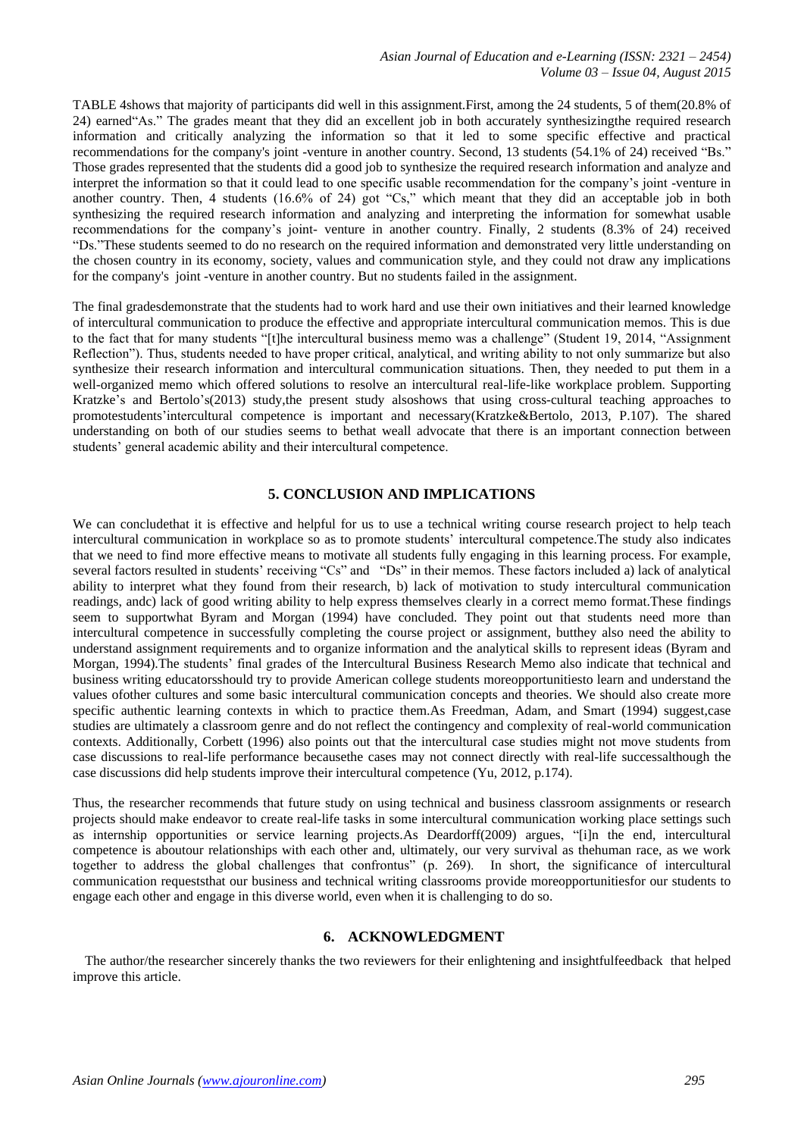TABLE 4shows that majority of participants did well in this assignment.First, among the 24 students, 5 of them(20.8% of 24) earned"As." The grades meant that they did an excellent job in both accurately synthesizingthe required research information and critically analyzing the information so that it led to some specific effective and practical recommendations for the company's joint -venture in another country. Second, 13 students (54.1% of 24) received "Bs." Those grades represented that the students did a good job to synthesize the required research information and analyze and interpret the information so that it could lead to one specific usable recommendation for the company"s joint -venture in another country. Then, 4 students (16.6% of 24) got "Cs," which meant that they did an acceptable job in both synthesizing the required research information and analyzing and interpreting the information for somewhat usable recommendations for the company"s joint- venture in another country. Finally, 2 students (8.3% of 24) received "Ds."These students seemed to do no research on the required information and demonstrated very little understanding on the chosen country in its economy, society, values and communication style, and they could not draw any implications for the company's joint -venture in another country. But no students failed in the assignment.

The final gradesdemonstrate that the students had to work hard and use their own initiatives and their learned knowledge of intercultural communication to produce the effective and appropriate intercultural communication memos. This is due to the fact that for many students "[t]he intercultural business memo was a challenge" (Student 19, 2014, "Assignment Reflection"). Thus, students needed to have proper critical, analytical, and writing ability to not only summarize but also synthesize their research information and intercultural communication situations. Then, they needed to put them in a well-organized memo which offered solutions to resolve an intercultural real-life-like workplace problem. Supporting Kratzke's and Bertolo's(2013) study,the present study alsoshows that using cross-cultural teaching approaches to promotestudents'intercultural competence is important and necessary(Kratzke&Bertolo, 2013, P.107). The shared understanding on both of our studies seems to bethat weall advocate that there is an important connection between students" general academic ability and their intercultural competence.

# **5. CONCLUSION AND IMPLICATIONS**

We can concludethat it is effective and helpful for us to use a technical writing course research project to help teach intercultural communication in workplace so as to promote students" intercultural competence.The study also indicates that we need to find more effective means to motivate all students fully engaging in this learning process. For example, several factors resulted in students' receiving "Cs" and "Ds" in their memos. These factors included a) lack of analytical ability to interpret what they found from their research, b) lack of motivation to study intercultural communication readings, andc) lack of good writing ability to help express themselves clearly in a correct memo format.These findings seem to supportwhat Byram and Morgan (1994) have concluded. They point out that students need more than intercultural competence in successfully completing the course project or assignment, butthey also need the ability to understand assignment requirements and to organize information and the analytical skills to represent ideas (Byram and Morgan, 1994).The students" final grades of the Intercultural Business Research Memo also indicate that technical and business writing educatorsshould try to provide American college students moreopportunitiesto learn and understand the values ofother cultures and some basic intercultural communication concepts and theories. We should also create more specific authentic learning contexts in which to practice them.As Freedman, Adam, and Smart (1994) suggest,case studies are ultimately a classroom genre and do not reflect the contingency and complexity of real-world communication contexts. Additionally, Corbett (1996) also points out that the intercultural case studies might not move students from case discussions to real-life performance becausethe cases may not connect directly with real-life successalthough the case discussions did help students improve their intercultural competence (Yu, 2012, p.174).

Thus, the researcher recommends that future study on using technical and business classroom assignments or research projects should make endeavor to create real-life tasks in some intercultural communication working place settings such as internship opportunities or service learning projects.As Deardorff(2009) argues, "[i]n the end, intercultural competence is aboutour relationships with each other and, ultimately, our very survival as thehuman race, as we work together to address the global challenges that confrontus" (p. 269). In short, the significance of intercultural communication requeststhat our business and technical writing classrooms provide moreopportunitiesfor our students to engage each other and engage in this diverse world, even when it is challenging to do so.

## **6. ACKNOWLEDGMENT**

The author/the researcher sincerely thanks the two reviewers for their enlightening and insightfulfeedback that helped improve this article.